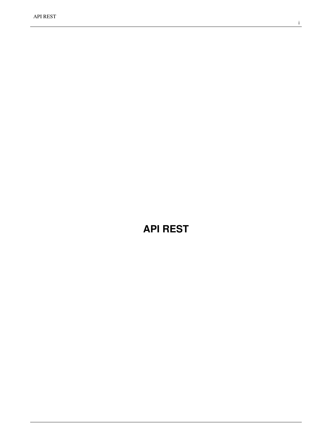# <span id="page-0-0"></span>**API REST**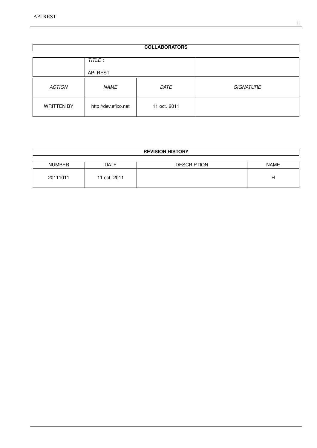| <b>COLLABORATORS</b> |                      |              |                  |
|----------------------|----------------------|--------------|------------------|
|                      |                      |              |                  |
|                      | TITLE:               |              |                  |
|                      |                      |              |                  |
|                      | <b>API REST</b>      |              |                  |
| <b>ACTION</b>        | <b>NAME</b>          | <b>DATE</b>  | <b>SIGNATURE</b> |
| <b>WRITTEN BY</b>    | http://dev.efixo.net | 11 oct. 2011 |                  |

| <b>REVISION HISTORY</b> |              |                    |             |
|-------------------------|--------------|--------------------|-------------|
|                         |              |                    |             |
| <b>NUMBER</b>           | <b>DATE</b>  | <b>DESCRIPTION</b> | <b>NAME</b> |
| 20111011                | 11 oct. 2011 |                    | н           |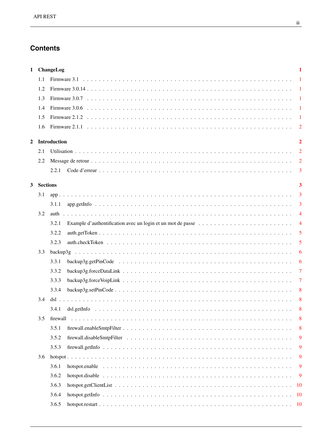# **Contents**

|   |                 | 1 ChangeLog                  | 1              |
|---|-----------------|------------------------------|----------------|
|   | 1.1             |                              | $\overline{1}$ |
|   | 1.2             |                              | $\overline{1}$ |
|   | 1.3             |                              | $\overline{1}$ |
|   | 1.4             |                              | $\overline{1}$ |
|   | 1.5             |                              | $\mathbf{1}$   |
|   | 1.6             |                              | $\overline{2}$ |
| 2 |                 | Introduction                 | $\overline{2}$ |
|   | 2.1             |                              | $\overline{2}$ |
|   | 2.2             |                              | $\overline{2}$ |
|   |                 |                              | $\overline{3}$ |
|   |                 |                              |                |
| 3 | <b>Sections</b> |                              | 3              |
|   | 3.1             |                              | $\overline{3}$ |
|   |                 | 3.1.1                        | $\overline{3}$ |
|   | 3.2             |                              | $\overline{4}$ |
|   |                 | 3.2.1                        | $\overline{4}$ |
|   |                 | 3.2.2                        | 5              |
|   |                 | 3.2.3                        | 5              |
|   | 3.3             |                              | -6             |
|   |                 | 3.3.1                        | 6              |
|   |                 | 3.3.2                        | 7              |
|   |                 | 3.3.3                        | $\overline{7}$ |
|   |                 | backup3g.setPinCode<br>3.3.4 | 8              |
|   | 3.4             |                              | 8              |
|   |                 | 3.4.1                        | 8              |
|   | 3.5             | firewall                     | 8              |
|   |                 | 3.5.1                        | 8              |
|   |                 | 3.5.2                        | 9              |
|   |                 | 3.5.3                        | 9              |
|   | 3.6             |                              | 9              |
|   |                 | 3.6.1                        | 9              |
|   |                 | 3.6.2                        | 9              |
|   |                 | 3.6.3                        |                |
|   |                 | 3.6.4                        |                |
|   |                 | 3.6.5                        |                |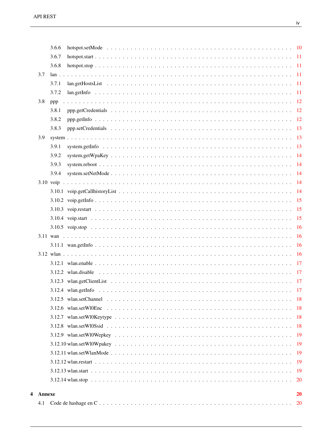$\overline{\mathbf{4}}$ 

|               | 3.6.6 |    |
|---------------|-------|----|
|               | 3.6.7 |    |
|               | 3.6.8 |    |
| 3.7           |       |    |
|               | 3.7.1 |    |
|               | 3.7.2 |    |
| 3.8           | ppp   |    |
|               | 3.8.1 |    |
|               | 3.8.2 |    |
|               | 3.8.3 |    |
| 3.9           |       |    |
|               | 3.9.1 |    |
|               | 3.9.2 |    |
|               | 3.9.3 |    |
|               | 3.9.4 |    |
|               |       |    |
|               |       |    |
|               |       |    |
|               |       |    |
|               |       |    |
|               |       |    |
|               |       |    |
|               |       |    |
|               |       |    |
|               |       |    |
|               |       |    |
|               |       |    |
|               |       |    |
|               |       |    |
|               |       |    |
|               |       |    |
|               |       |    |
|               |       |    |
|               |       |    |
|               |       |    |
|               |       |    |
|               |       |    |
|               |       |    |
| <b>Annexe</b> |       | 20 |
| 4.1           |       |    |
|               |       |    |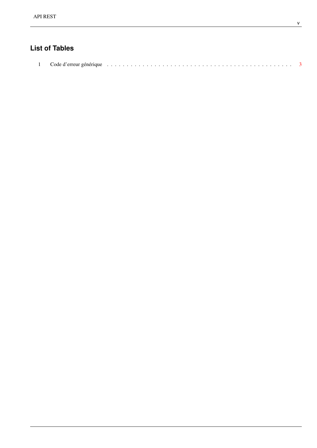# **List of Tables**

|--|--|--|--|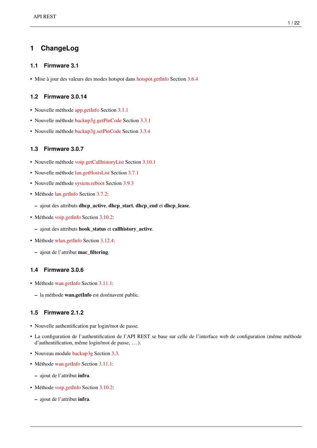# <span id="page-5-0"></span>**1 ChangeLog**

## <span id="page-5-1"></span>**1.1 Firmware 3.1**

• Mise à jour des valeurs des modes hotspot dans [hotspot.getInfo](#page-14-4) Section [3.6.4](#page-14-1)

## <span id="page-5-2"></span>**1.2 Firmware 3.0.14**

- Nouvelle méthode [app.getInfo](#page-7-5) Section [3.1.1](#page-7-3)
- Nouvelle méthode [backup3g.getPinCode](#page-10-2) Section [3.3.1](#page-10-1)
- Nouvelle méthode [backup3g.setPinCode](#page-12-5) Section [3.3.4](#page-12-0)

## <span id="page-5-3"></span>**1.3 Firmware 3.0.7**

- Nouvelle méthode [voip.getCallhistoryList](#page-18-5) Section [3.10.1](#page-18-4)
- Nouvelle méthode [lan.getHostsList](#page-15-5) Section [3.7.1](#page-15-3)
- Nouvelle méthode [system.reboot](#page-18-6) Section [3.9.3](#page-18-1)
- Méthode [lan.getInfo](#page-15-6) Section [3.7.2:](#page-15-4)
	- ajout des attributs dhcp\_active, dhcp\_start, dhcp\_end et dhcp\_lease.
- Méthode [voip.getInfo](#page-19-3) Section [3.10.2:](#page-19-0)
	- ajout des attributs hook\_status et callhistory\_active.
- Méthode [wlan.getInfo](#page-21-4) Section [3.12.4:](#page-21-3)
	- ajout de l'attribut mac\_filtering.

## <span id="page-5-4"></span>**1.4 Firmware 3.0.6**

- Méthode [wan.getInfo](#page-20-4) Section [3.11.1:](#page-20-2)
	- la méthode wan.getInfo est dorénavent public.

## <span id="page-5-5"></span>**1.5 Firmware 2.1.2**

- Nouvelle authentification par login/mot de passe.
- La configuration de l'authentification de l'API REST se base sur celle de l'interface web de configuration (même méthode d'authentification, même login/mot de passe, . . . ).
- Nouveau module [backup3g](#page-10-1) Section [3.3.](#page-10-0)
- Méthode [wan.getInfo](#page-20-4) Section [3.11.1:](#page-20-2)
	- ajout de l'attribut infra.
- Méthode [voip.getInfo](#page-19-3) Section [3.10.2:](#page-19-0)
	- ajout de l'attribut infra.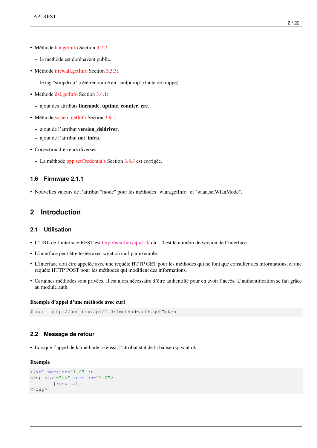- Méthode [lan.getInfo](#page-15-6) Section [3.7.2:](#page-15-4)
	- la méthode est dorénavent public.
- Méthode [firewall.getInfo](#page-13-5) Section [3.5.3:](#page-13-1)
	- le tag "stmpdrop" a été renommé en "smtpdrop" (faute de frappe).
- Méthode [dsl.getInfo](#page-12-6) Section [3.4.1:](#page-12-2)
	- ajout des attributs linemode, uptime, counter, crc.
- Méthode [system.getInfo](#page-17-3) Section [3.9.1:](#page-17-2)
	- ajout de l'attribut version\_dsldriver.
	- ajout de l'attribut net\_infra.
- Correction d'erreurs diverses:
	- La méthode [ppp.setCredentials](#page-17-4) Section [3.8.3](#page-17-0) est corrigée.

## <span id="page-6-0"></span>**1.6 Firmware 2.1.1**

• Nouvelles valeurs de l'attribut "mode" pour les méthodes "wlan.getInfo" et "wlan.setWlanMode".

## <span id="page-6-1"></span>**2 Introduction**

## <span id="page-6-2"></span>**2.1 Utilisation**

- L'URL de l'interface REST est <http://neufbox/api/1.0/> où 1.0 est le numéro de version de l'interface.
- L'interface peut être testée avec wget ou curl par exemple.
- L'interface doit être appelée avec une requête HTTP GET pour les méthodes qui ne font que consulter des informations, et une requête HTTP POST pour les méthodes qui modifient des informations.
- Certaines méthodes sont privées. Il est alors nécessaire d'être authentifié pour en avoir l'accès. L'authentification se fait grâce au module auth.

#### Exemple d'appel d'une méthode avec curl

```
$ curl http://neufbox/api/1.0/?method=auth.getToken
```
## <span id="page-6-3"></span>**2.2 Message de retour**

• Lorsque l'appel de la méthode a réussi, l'attribut stat de la balise rsp vaut ok

#### Exemple

```
<?xml version="1.0" ?>
<rsp stat="ok" version="1.0">
         [resultat]
\langle/rsp>
```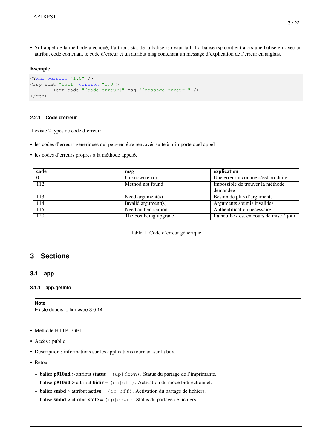• Si l'appel de la méthode a échoué, l'attribut stat de la balise rsp vaut fail. La balise rsp contient alors une balise err avec un attribut code contenant le code d'erreur et un attribut msg contenant un message d'explication de l'erreur en anglais.

## Exemple

```
<?xml version="1.0" ?>
<rsp stat="fail" version="1.0">
        <err code="[code-erreur]" msg="[message-erreur]" />
\langle/rsp>
```
#### <span id="page-7-0"></span>**2.2.1 Code d'erreur**

Il existe 2 types de code d'erreur:

- les codes d'erreurs génériques qui peuvent être renvoyés suite à n'importe quel appel
- les codes d'erreurs propres à la méthode appelée

| code | msg                   | explication                            |
|------|-----------------------|----------------------------------------|
|      | Unknown error         | Une erreur inconnue s'est produite     |
| 112  | Method not found      | Impossible de trouver la méthode       |
|      |                       | demandée                               |
| 113  | Need argument(s)      | Besoin de plus d'arguments             |
| 114  | Invalid $argument(s)$ | Arguments soumis invalides             |
| 115  | Need authentication   | Authentification nécessaire            |
| 120  | The box being upgrade | La neufbox est en cours de mise à jour |

Table 1: Code d'erreur générique

## <span id="page-7-4"></span><span id="page-7-1"></span>**3 Sections**

#### <span id="page-7-2"></span>**3.1 app**

#### <span id="page-7-3"></span>**3.1.1 app.getInfo**

<span id="page-7-5"></span>**Note**

Existe depuis le firmware 3.0.14

- Méthode HTTP : GET
- Accès : public
- Description : informations sur les applications tournant sur la box.
- Retour :
	- balise p910nd > attribut status = (up|down). Status du partage de l'imprimante.
	- balise **p910nd** > attribut **bidir** =  $(\text{on} | \text{off})$ . Activation du mode bidirectionnel.
	- balise smbd > attribut  $active = (on | of f)$ . Activation du partage de fichiers.
	- balise smbd > attribut state =  $(\text{up} | \text{down})$ . Status du partage de fichiers.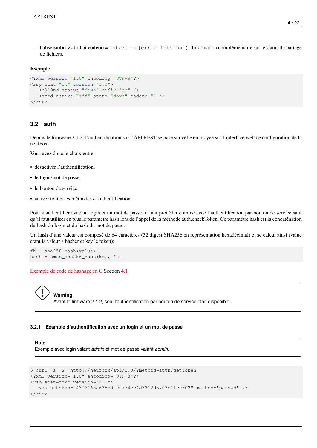– balise smbd > attribut codeno = (starting|error\_internal). Information complémentaire sur le status du partage de fichiers.

#### Exemple

```
<?xml version="1.0" encoding="UTF-8"?>
<rsp stat="ok" version="1.0">
   <p910nd status="down" bidir="on" />
   <smbd active="off" state="down" codeno="" />
\langle/rsp>
```
## <span id="page-8-0"></span>**3.2 auth**

Depuis le firmware 2.1.2, l'authentification sur l'API REST se base sur celle employée sur l'interface web de configuration de la neufbox.

Vous avez donc le choix entre:

- désactiver l'authentification,
- le login/mot de passe,
- le bouton de service,
- activer toutes les méthodes d'authentification.

Pour s'authentifier avec un login et un mot de passe, il faut procéder comme avec l'authentification par bouton de service sauf qu'il faut utiliser en plus le paramétre hash lors de l'appel de la méthode auth.checkToken. Ce paramétre hash est la concaténation du hash du login et du hash du mot de passe.

Un hash d'une valeur est composé de 64 caractères (32 digest SHA256 en représentation hexadécimal) et se calcul ainsi (value étant la valeur a hasher et key le token):

fh = sha256\_hash(value) hash = hmac\_sha256\_hash(key, fh)

[Exemple de code de hashage en C](#page-24-3) Section [4.1](#page-24-2)



#### <span id="page-8-1"></span>**3.2.1 Example d'authentification avec un login et un mot de passe**

#### **Note**

Exemple avec login valant *admin* et mot de passe valant *admin*.

```
$ curl -s -G http://neufbox/api/1.0/?method=auth.getToken
<?xml version="1.0" encoding="UTF-8"?>
<rsp stat="ok" version="1.0">
   <auth token="43f6168e635b9a90774cc4d3212d5703c11c9302" method="passwd" />
\langle/rsp>
```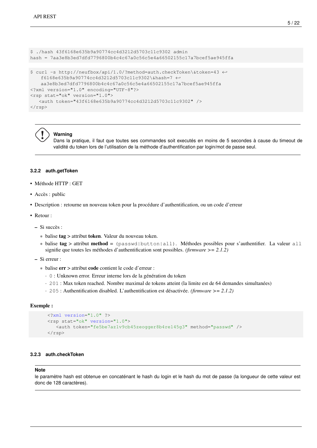```
$ ./hash 43f6168e635b9a90774cc4d3212d5703c11c9302 admin
hash = 7aa3e8b3ed7dfd7796800b4c4c67a0c56c5e4a66502155c17a7bcef5ae945ffa
$ curl -s http://neufbox/api/1.0/?method=auth.checkToken\&token=43 ←-
   f6168e635b9a90774cc4d3212d5703c11c9302\&hash=7 ←-
   aa3e8b3ed7dfd7796800b4c4c67a0c56c5e4a66502155c17a7bcef5ae945ffa
<?xml version="1.0" encoding="UTF-8"?>
<rsp stat="ok" version="1.0">
   <auth token="43f6168e635b9a90774cc4d3212d5703c11c9302" />
\langle/rsp>
```


## **Warning**

Dans la pratique, il faut que toutes ses commandes soit executés en moins de 5 secondes à cause du timeout de validité du token lors de l'utilisation de la méthode d'authentification par login/mot de passe seul.

#### <span id="page-9-0"></span>**3.2.2 auth.getToken**

- Méthode HTTP : GET
- Accès : public
- Description : retourne un nouveau token pour la procédure d'authentification, ou un code d'erreur
- Retour :
	- Si succès :
		- \* balise tag > attribut token. Valeur du nouveau token.
		- \* balise tag > attribut method = (passwd|button|all). Méthodes possibles pour s'authentifier. La valeur all signifie que toutes les méthodes d'authentification sont possibles. *(firmware >= 2.1.2)*
	- Si erreur :
		- \* balise err > attribut code contient le code d'erreur :
			- · 0 : Unknown error. Erreur interne lors de la génération du token
			- · 201 : Max token reached. Nombre maximal de tokens atteint (la limite est de 64 demandes simultanées)
			- · 205 : Authentification disabled. L'authentification est désactivée. *(firmware >= 2.1.2)*

#### Exemple :

```
<?xml version="1.0" ?>
<rsp stat="ok" version="1.0">
   <auth token="fe5be7az1v9cb45zeogger8b4re145g3" method="passwd" />
\langle/rsp>
```
## <span id="page-9-1"></span>**3.2.3 auth.checkToken**

#### **Note**

le paramètre hash est obtenue en concaténant le hash du login et le hash du mot de passe (la longueur de cette valeur est donc de 128 caractères).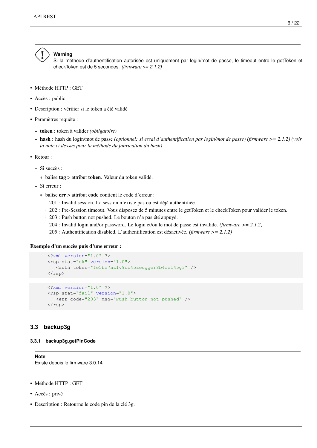

**Warning**

Si la méthode d'authentification autorisée est uniquement par login/mot de passe, le timeout entre le getToken et checkToken est de 5 secondes. *(firmware >= 2.1.2)*

- Méthode HTTP : GET
- Accès : public
- Description : vérifier si le token a été validé
- Paramètres requête :
	- token : token à valider *(obligatoire)*
	- hash : hash du login/mot de passe *(optionnel: si essai d'authentification par login/mot de passe) (firmware >= 2.1.2) (voir la note ci dessus pour la méthode du fabrication du hash)*
- Retour :
	- Si succès :
		- \* balise tag > attribut token. Valeur du token validé.
	- Si erreur :
		- \* balise err > attribut code contient le code d'erreur :
			- · 201 : Invalid session. La session n'existe pas ou est déjà authentifiée.
			- · 202 : Pre-Session timeout. Vous disposez de 5 minutes entre le getToken et le checkToken pour valider le token.
			- · 203 : Push button not pushed. Le bouton n'a pas été appuyé.
			- · 204 : Invalid login and/or password. Le login et/ou le mot de passe est invalide. *(firmware >= 2.1.2)*
			- · 205 : Authentification disabled. L'authentification est désactivée. *(firmware >= 2.1.2)*

#### Exemple d'un succès puis d'une erreur :

```
<?xml version="1.0" ?>
<rsp stat="ok" version="1.0">
   <auth token="fe5be7az1v9cb45zeogger8b4re145g3" />
\langle/rsp>
<?xml version="1.0" ?>
<rsp stat="fail" version="1.0">
   <err code="203" msg="Push button not pushed" />
\langle/rsp>
```
## <span id="page-10-0"></span>**3.3 backup3g**

#### <span id="page-10-1"></span>**3.3.1 backup3g.getPinCode**

<span id="page-10-2"></span>**Note** Existe depuis le firmware 3.0.14

- Méthode HTTP : GET
- Accès : privé
- Description : Retourne le code pin de la clé 3g.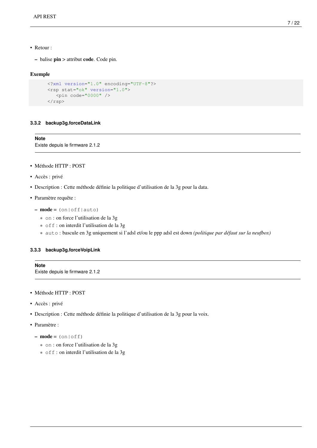- Retour :
	- balise pin > attribut code. Code pin.

#### Exemple

```
<?xml version="1.0" encoding="UTF-8"?>
<rsp stat="ok" version="1.0">
   <pin code="0000" />
\langle/rsp>
```
#### <span id="page-11-0"></span>**3.3.2 backup3g.forceDataLink**

**Note** Existe depuis le firmware 2.1.2

- Méthode HTTP : POST
- Accès : privé
- Description : Cette méthode définie la politique d'utilisation de la 3g pour la data.
- Paramètre requête :
	- $-$  mode =  $($ on|off|auto)
		- \* on : on force l'utilisation de la 3g
		- \* off : on interdit l'utilisation de la 3g
		- \* auto : bascule en 3g uniquement si l'adsl et/ou le ppp adsl est down *(politique par défaut sur la neufbox)*

#### <span id="page-11-1"></span>**3.3.3 backup3g.forceVoipLink**

```
Note
```
Existe depuis le firmware 2.1.2

- Méthode HTTP : POST
- Accès : privé
- Description : Cette méthode définie la politique d'utilisation de la 3g pour la voix.
- Paramètre :
	- $-$  mode =  $($ on $|$ off)
		- \* on : on force l'utilisation de la 3g
		- \* off : on interdit l'utilisation de la 3g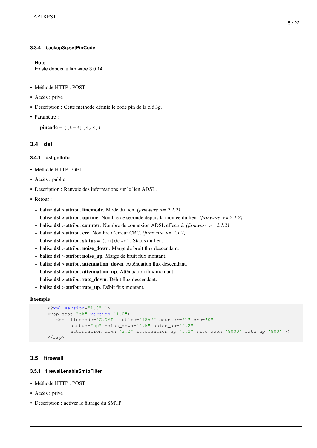#### <span id="page-12-0"></span>**3.3.4 backup3g.setPinCode**

#### <span id="page-12-5"></span>**Note**

Existe depuis le firmware 3.0.14

- Méthode HTTP : POST
- Accès : privé
- Description : Cette méthode définie le code pin de la clé 3g.
- Paramètre :
	- $-$  pincode =  $([0-9]{4,8})$

## <span id="page-12-1"></span>**3.4 dsl**

#### <span id="page-12-2"></span>**3.4.1 dsl.getInfo**

- <span id="page-12-6"></span>• Méthode HTTP : GET
- Accès : public
- Description : Renvoie des informations sur le lien ADSL.
- Retour :
	- balise dsl > attribut linemode. Mode du lien. *(firmware >= 2.1.2)*
	- balise dsl > attribut uptime. Nombre de seconde depuis la montée du lien. *(firmware >= 2.1.2)*
	- balise dsl > attribut counter. Nombre de connexion ADSL effectué. *(firmware >= 2.1.2)*
	- balise dsl > attribut crc. Nombre d'erreur CRC. *(firmware >= 2.1.2)*
	- balise dsl > attribut status = (up|down). Status du lien.
	- balise dsl > attribut noise\_down. Marge de bruit flux descendant.
	- balise dsl > attribut noise\_up. Marge de bruit flux montant.
	- balise dsl > attribut attenuation\_down. Atténuation flux descendant.
	- balise dsl > attribut attenuation\_up. Atténuation flux montant.
	- balise dsl > attribut rate\_down. Débit flux descendant.
	- balise dsl > attribut rate\_up. Débit flux montant.

#### Exemple

```
<?xml version="1.0" ?>
<rsp stat="ok" version="1.0">
   <dsl linemode="G.DMT" uptime="4857" counter="1" crc="0"
        status="up" noise_down="4.5" noise_up="4.2"
        attenuation_down="3.2" attenuation_up="5.2" rate_down="8000" rate_up="800" />
\langle/rsp>
```
## <span id="page-12-3"></span>**3.5 firewall**

#### <span id="page-12-4"></span>**3.5.1 firewall.enableSmtpFilter**

- Méthode HTTP : POST
- Accès : privé
- Description : activer le filtrage du SMTP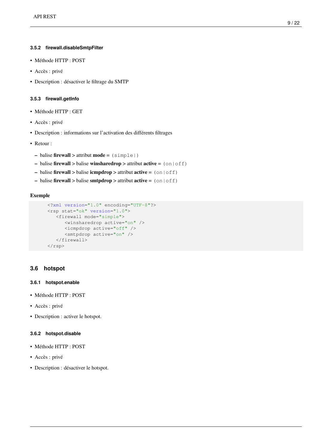#### <span id="page-13-0"></span>**3.5.2 firewall.disableSmtpFilter**

- Méthode HTTP : POST
- Accès : privé
- Description : désactiver le filtrage du SMTP

#### <span id="page-13-1"></span>**3.5.3 firewall.getInfo**

- <span id="page-13-5"></span>• Méthode HTTP : GET
- Accès : privé
- Description : informations sur l'activation des différents filtrages
- Retour :
	- $-$  balise firewall  $>$  attribut mode =  $(simpler)$
	- balise firewall > balise winsharedrop > attribut active =  $(on|off)$
	- balise firewall > balise icmpdrop > attribut active =  $(on | of f)$
	- balise firewall > balise smtpdrop > attribut  $active = (on | of f)$

#### Exemple

```
<?xml version="1.0" encoding="UTF-8"?>
<rsp stat="ok" version="1.0">
  <firewall mode="simple">
     <winsharedrop active="on" />
     <icmpdrop active="off" />
     <smtpdrop active="on" />
   </firewall>
\langle/rsp>
```
## <span id="page-13-2"></span>**3.6 hotspot**

#### <span id="page-13-3"></span>**3.6.1 hotspot.enable**

- Méthode HTTP : POST
- Accès : privé
- Description : activer le hotspot.

#### <span id="page-13-4"></span>**3.6.2 hotspot.disable**

- Méthode HTTP : POST
- Accès : privé
- Description : désactiver le hotspot.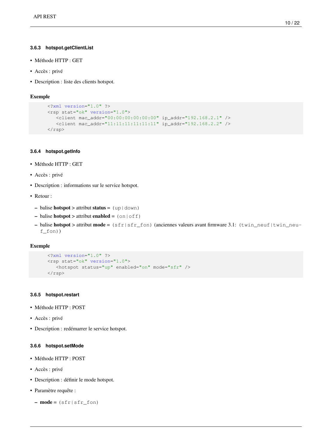#### <span id="page-14-0"></span>**3.6.3 hotspot.getClientList**

- Méthode HTTP : GET
- Accès : privé
- Description : liste des clients hotspot.

#### Exemple

```
<?xml version="1.0" ?>
<rsp stat="ok" version="1.0">
  <client mac_addr="00:00:00:00:00:00" ip_addr="192.168.2.1" />
  <client mac_addr="11:11:11:11:11:11" ip_addr="192.168.2.2" />
\langle/rsp>
```
## <span id="page-14-1"></span>**3.6.4 hotspot.getInfo**

- <span id="page-14-4"></span>• Méthode HTTP : GET
- Accès : privé
- Description : informations sur le service hotspot.
- Retour :
	- balise **hotspot** > attribut **status** =  $(\text{up}| \text{down})$
	- balise **hotspot** > attribut **enabled** =  $(\text{on} | \text{off})$
	- balise hotspot > attribut mode =  $(sfr|sfr)$  (anciennes valeurs avant firmware 3.1: (twin\_neuf|twin\_neuf\_fon))

#### Exemple

```
<?xml version="1.0" ?>
<rsp stat="ok" version="1.0">
   <hotspot status="up" enabled="on" mode="sfr" />
\langle/rsp>
```
#### <span id="page-14-2"></span>**3.6.5 hotspot.restart**

- Méthode HTTP : POST
- Accès : privé
- Description : redémarrer le service hotspot.

## <span id="page-14-3"></span>**3.6.6 hotspot.setMode**

- Méthode HTTP : POST
- Accès : privé
- Description : définir le mode hotspot.
- Paramètre requête :
	- $-$  mode =  $(sfr|sfr_f))$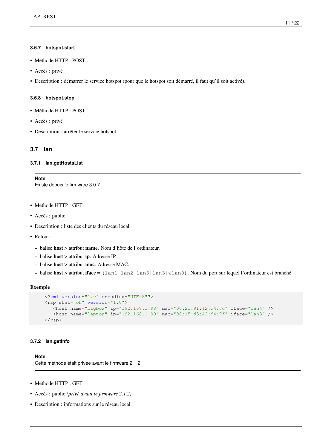#### <span id="page-15-0"></span>**3.6.7 hotspot.start**

- Méthode HTTP : POST
- Accès : privé
- Description : démarrer le service hotspot (pour que le hotspot soit démarré, il faut qu'il soit activé).

#### <span id="page-15-1"></span>**3.6.8 hotspot.stop**

- Méthode HTTP : POST
- Accès : privé
- Description : arrêter le service hotspot.

## <span id="page-15-2"></span>**3.7 lan**

#### <span id="page-15-3"></span>**3.7.1 lan.getHostsList**

<span id="page-15-5"></span>**Note** Existe depuis le firmware 3.0.7

- Méthode HTTP : GET
- Accès : public
- Description : liste des clients du réseau local.
- Retour :
	- balise host > attribut name. Nom d'hôte de l'ordinateur.
	- balise host > attribut ip. Adresse IP.
	- balise host > attribut mac. Adresse MAC.
	- balise host > attribut iface = (lan1|lan2|lan3|lan3|wlan0). Nom du port sur lequel l'ordinateur est branché.

#### Exemple

```
<?xml version="1.0" encoding="UTF-8"?>
<rsp stat="ok" version="1.0">
   <host name="bigbox" ip="192.168.1.98" mac="00:21:91:12:d4:7c" iface="lan4" />
   <host name="laptop" ip="192.168.1.99" mac="00:15:d5:42:d4:7f" iface="lan3" />
\langle/rsp>
```
#### <span id="page-15-4"></span>**3.7.2 lan.getInfo**

<span id="page-15-6"></span>**Note** Cette méthode était privée avant le firmware 2.1.2

- Méthode HTTP : GET
- Accès : public *(privé avant le firmware 2.1.2)*
- Description : informations sur le réseau local.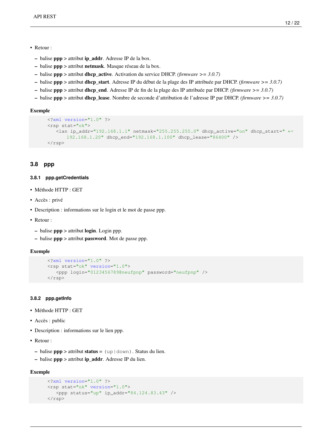- Retour :
	- balise  $ppp >$  attribut  $ip\_addr$ . Adresse IP de la box.
	- balise ppp > attribut netmask. Masque réseau de la box.
	- balise ppp > attribut dhcp\_active. Activation du service DHCP. *(firmware >= 3.0.7)*
	- balise ppp > attribut dhcp\_start. Adresse IP du début de la plage des IP attribuée par DHCP. *(firmware >= 3.0.7)*
	- balise ppp > attribut dhcp\_end. Adresse IP de fin de la plage des IP attribuée par DHCP. *(firmware >= 3.0.7)*
	- balise ppp > attribut dhcp\_lease. Nombre de seconde d'attribution de l'adresse IP par DHCP. *(firmware >= 3.0.7)*

#### Exemple

```
<?xml version="1.0" ?>
<rsp stat="ok">
   \lambda <lan ip_addr="192.168.1.1" netmask="255.255.255.0" dhcp_active="on" dhcp_start=" \leftrightarrow192.168.1.20" dhcp_end="192.168.1.100" dhcp_lease="86400" />
\langle/rsp>
```
## <span id="page-16-0"></span>**3.8 ppp**

#### <span id="page-16-1"></span>**3.8.1 ppp.getCredentials**

- Méthode HTTP : GET
- Accès : privé
- Description : informations sur le login et le mot de passe ppp.
- Retour :
	- balise  $ppp >$  attribut login. Login ppp.
	- balise ppp > attribut password. Mot de passe ppp.

#### Exemple

```
<?xml version="1.0" ?>
<rsp stat="ok" version="1.0">
   <ppp login="0123456789@neufpnp" password="neufpnp" />
\langle/rsp>
```
#### <span id="page-16-2"></span>**3.8.2 ppp.getInfo**

- Méthode HTTP : GET
- Accès : public
- Description : informations sur le lien ppp.
- Retour :
	- balise  $ppp >$  attribut status = (up  $|down$ ). Status du lien.
	- balise ppp > attribut ip\_addr. Adresse IP du lien.

#### Exemple

```
<?xml version="1.0" ?>
<rsp stat="ok" version="1.0">
   \langleppp status="up" ip_addr="84.124.83.43" />
\langle/rsp>
```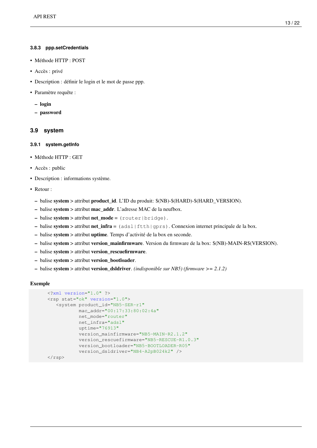#### <span id="page-17-0"></span>**3.8.3 ppp.setCredentials**

- <span id="page-17-4"></span>• Méthode HTTP : POST
- Accès : privé
- Description : définir le login et le mot de passe ppp.
- Paramètre requête :
	- login
	- password

## <span id="page-17-1"></span>**3.9 system**

#### <span id="page-17-2"></span>**3.9.1 system.getInfo**

- <span id="page-17-3"></span>• Méthode HTTP : GET
- Accès : public
- Description : informations système.
- Retour :
	- balise system > attribut product\_id. L'ID du produit: \$(NB)-\$(HARD)-\$(HARD\_VERSION).
	- balise system > attribut mac\_addr. L'adresse MAC de la neufbox.
	- balise system > attribut net\_mode = (router|bridge).
	- balise system > attribut net\_infra = (adsl|ftth|gprs). Connexion internet principale de la box.
	- balise system > attribut uptime. Temps d'activité de la box en seconde.
	- balise system > attribut version\_mainfirmware. Version du firmware de la box: \$(NB)-MAIN-R\$(VERSION).
	- balise system > attribut version\_rescuefirmware.
	- balise system > attribut version\_bootloader.
	- balise system > attribut version\_dsldriver. *(indisponible sur NB5) (firmware >= 2.1.2)*

#### Exemple

```
<?xml version="1.0" ?>
<rsp stat="ok" version="1.0">
  <system product_id="NB5-SER-r1"
          mac_addr="00:17:33:80:02:4a"
          net_mode="router"
           net_infra="adsl"
           uptime="76913"
           version_mainfirmware="NB5-MAIN-R2.1.2"
           version_rescuefirmware="NB5-RESCUE-R1.0.3"
           version_bootloader="NB5-BOOTLOADER-R05"
           version_dsldriver="NB4-A2pB024k2" />
```
</rsp>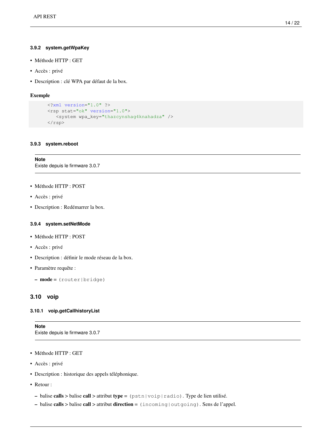#### <span id="page-18-0"></span>**3.9.2 system.getWpaKey**

- Méthode HTTP : GET
- Accès : privé
- Description : clé WPA par défaut de la box.

#### Exemple

```
<?xml version="1.0" ?>
<rsp stat="ok" version="1.0">
   <system wpa_key="thazcynshag4knahadza" />
\langle/rsp>
```
## <span id="page-18-1"></span>**3.9.3 system.reboot**

<span id="page-18-6"></span>**Note** Existe depuis le firmware 3.0.7

- Méthode HTTP : POST
- Accès : privé
- Description : Redémarrer la box.

#### <span id="page-18-2"></span>**3.9.4 system.setNetMode**

- Méthode HTTP : POST
- Accès : privé
- Description : définir le mode réseau de la box.
- Paramètre requête :
	- mode = (router|bridge)

#### <span id="page-18-3"></span>**3.10 voip**

#### <span id="page-18-4"></span>**3.10.1 voip.getCallhistoryList**

<span id="page-18-5"></span>**Note** Existe depuis le firmware 3.0.7

- Méthode HTTP : GET
- Accès : privé
- Description : historique des appels téléphonique.
- Retour :
	- balise calls > balise call > attribut type = (pstn|voip|radio). Type de lien utilisé.
	- balise calls > balise call > attribut direction =  $(incoming | outgoing)$ . Sens de l'appel.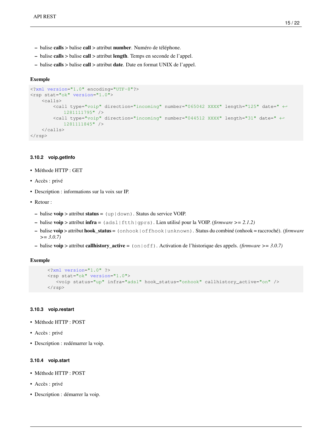- balise calls > balise call > attribut number. Numéro de téléphone.
- balise calls > balise call > attribut length. Temps en seconde de l'appel.
- balise calls > balise call > attribut date. Date en format UNIX de l'appel.

#### Exemple

```
<?xml version="1.0" encoding="UTF-8"?>
<rsp stat="ok" version="1.0">
   <calls>
        <call type="voip" direction="incoming" number="065042 XXXX" length="125" date=" ←-
           1281111795" />
        <call type="voip" direction="incoming" number="044512 XXXX" length="31" date=" ←-
           1281111845" />
    </calls>
\langle/rsp>
```
#### <span id="page-19-0"></span>**3.10.2 voip.getInfo**

- <span id="page-19-3"></span>• Méthode HTTP : GET
- Accès : privé
- Description : informations sur la voix sur IP.
- Retour :
	- balise voip > attribut status =  $(\text{up}| \text{down})$ . Status du service VOIP.
	- balise voip > attribut infra = (adsl|ftth|gprs). Lien utilisé pour la VOIP. *(firmware >= 2.1.2)*
	- balise voip > attribut hook\_status = (onhook|offhook|unknown). Status du combiné (onhook = raccroché). *(firmware >= 3.0.7)*
	- balise voip > attribut callhistory\_active = (on|off). Activation de l'historique des appels. *(firmware >= 3.0.7)*

#### Exemple

```
<?xml version="1.0" ?>
<rsp stat="ok" version="1.0">
  <voip status="up" infra="adsl" hook_status="onhook" callhistory_active="on" />
\langle/rsp>
```
#### <span id="page-19-1"></span>**3.10.3 voip.restart**

- Méthode HTTP : POST
- Accès : privé
- Description : redémarrer la voip.

#### <span id="page-19-2"></span>**3.10.4 voip.start**

- Méthode HTTP : POST
- Accès : privé
- Description : démarrer la voip.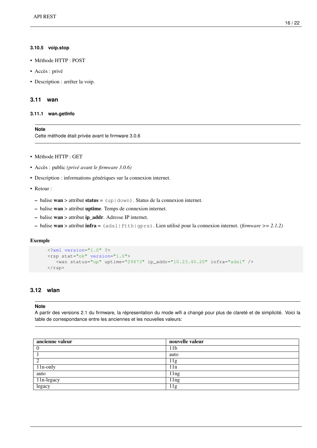#### <span id="page-20-0"></span>**3.10.5 voip.stop**

- Méthode HTTP : POST
- Accès : privé
- Description : arrêter la voip.

## <span id="page-20-1"></span>**3.11 wan**

## <span id="page-20-2"></span>**3.11.1 wan.getInfo**

#### <span id="page-20-4"></span>**Note** Cette méthode était privée avant le firmware 3.0.6

- Méthode HTTP : GET
- Accès : public *(privé avant le firmware 3.0.6)*
- Description : informations génériques sur la connexion internet.
- Retour :
	- balise wan > attribut status =  $(\text{up}| \text{down})$ . Status de la connexion internet.
	- balise wan > attribut uptime. Temps de connexion internet.
	- balise wan > attribut ip\_addr. Adresse IP internet.
	- balise wan > attribut infra = (adsl|ftth|gprs). Lien utilisé pour la connexion internet. *(firmware >= 2.1.2)*

#### Exemple

```
<?xml version="1.0" ?>
<rsp stat="ok" version="1.0">
   <wan status="up" uptime="29873" ip_addr="10.23.40.20" infra="adsl" />
\langle/rsp>
```
## <span id="page-20-3"></span>**3.12 wlan**

## **Note**

A partir des versions 2.1 du firmware, la répresentation du mode wifi a changé pour plus de clareté et de simplicité. Voici la table de correspondance entre les anciennes et les nouvelles valeurs:

| ancienne valeur | nouvelle valeur |
|-----------------|-----------------|
|                 | 11b             |
|                 | auto            |
|                 | 11g             |
| $11n-only$      | 11n             |
| auto            | 11ng            |
| 11n-legacy      | 11ng            |
| legacy          | 1g              |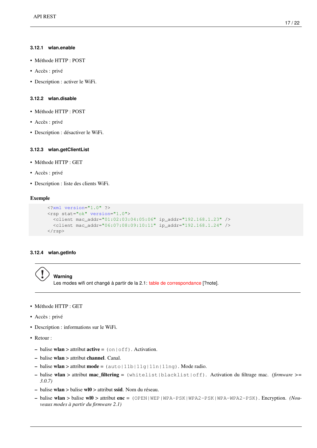#### <span id="page-21-0"></span>**3.12.1 wlan.enable**

- Méthode HTTP : POST
- Accès : privé
- Description : activer le WiFi.

## <span id="page-21-1"></span>**3.12.2 wlan.disable**

- Méthode HTTP : POST
- Accès : privé
- Description : désactiver le WiFi.

## <span id="page-21-2"></span>**3.12.3 wlan.getClientList**

- Méthode HTTP : GET
- Accès : privé
- Description : liste des clients WiFi.

#### Exemple

```
<?xml version="1.0" ?>
<rsp stat="ok" version="1.0">
  <client mac_addr="01:02:03:04:05:06" ip_addr="192.168.1.23" />
  <client mac_addr="06:07:08:09:10:11" ip_addr="192.168.1.24" />
\langle/rsp>
```
## <span id="page-21-3"></span>**3.12.4 wlan.getInfo**

<span id="page-21-4"></span>

Les modes wifi ont changé à partir de la 2.1: [table de correspondance](#page-0-0) [?note].

- Méthode HTTP : GET
- Accès : privé
- Description : informations sur le WiFi.
- Retour :
	- balise wlan  $>$  attribut active =  $($ on $|$ off). Activation.
	- balise wlan > attribut channel. Canal.
	- balise wlan > attribut mode =  $($ auto $|11b|11g|11n|11ng)$ . Mode radio.
	- balise wlan > attribut mac\_filtering = (whitelist|blacklist|off). Activation du filtrage mac. *(firmware >= 3.0.7)*
	- balise wlan > balise wl0 > attribut ssid. Nom du réseau.
	- balise wlan > balise wl0 > attribut enc = (OPEN|WEP|WPA-PSK|WPA2-PSK|WPA-WPA2-PSK). Encryption. *(Nouveaux modes à partir du firmware 2.1)*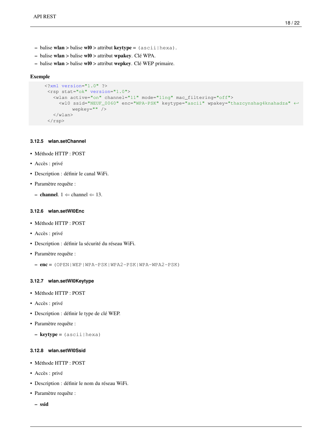- balise wlan > balise wl0 > attribut keytype =  $(\text{ascii}|\text{hexa})$ .
- balise wlan > balise wl0 > attribut wpakey. Clé WPA.
- balise wlan > balise wl0 > attribut wepkey. Clé WEP primaire.

#### Exemple

```
<?xml version="1.0" ?>
 <rsp stat="ok" version="1.0">
   <wlan active="on" channel="11" mode="11ng" mac_filtering="off">
     <wl0 ssid="NEUF_0060" enc="WPA-PSK" keytype="ascii" wpakey="thazcynshag4knahadza" ←-
         wepkey="" />
   </wlan>
 \langle/rsp>
```
## <span id="page-22-0"></span>**3.12.5 wlan.setChannel**

- Méthode HTTP : POST
- Accès : privé
- Description : définir le canal WiFi.
- Paramètre requête :
	- channel. 1  $\Leftarrow$  channel  $\Leftarrow$  13.

#### <span id="page-22-1"></span>**3.12.6 wlan.setWl0Enc**

- Méthode HTTP : POST
- Accès : privé
- Description : définir la sécurité du réseau WiFi.
- Paramètre requête :
	- enc = (OPEN|WEP|WPA-PSK|WPA2-PSK|WPA-WPA2-PSK)

#### <span id="page-22-2"></span>**3.12.7 wlan.setWl0Keytype**

- Méthode HTTP : POST
- Accès : privé
- Description : définir le type de clé WEP.
- Paramètre requête :
	- $-$  keytype = (ascii|hexa)

#### <span id="page-22-3"></span>**3.12.8 wlan.setWl0Ssid**

- Méthode HTTP : POST
- Accès : privé
- Description : définir le nom du réseau WiFi.
- Paramètre requête :
	- ssid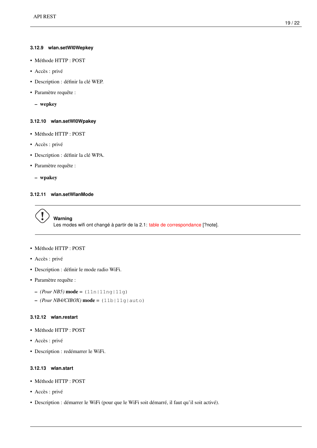## <span id="page-23-0"></span>**3.12.9 wlan.setWl0Wepkey**

- Méthode HTTP : POST
- Accès : privé
- Description : définir la clé WEP.
- Paramètre requête :

– wepkey

## <span id="page-23-1"></span>**3.12.10 wlan.setWl0Wpakey**

- Méthode HTTP : POST
- Accès : privé
- Description : définir la clé WPA.
- Paramètre requête :
	- wpakey

## <span id="page-23-2"></span>**3.12.11 wlan.setWlanMode**

# **Warning**

Les modes wifi ont changé à partir de la 2.1: [table de correspondance](#page-0-0) [?note].

## • Méthode HTTP : POST

- Accès : privé
- Description : définir le mode radio WiFi.
- Paramètre requête :
	- *(Pour NB5)* mode = (11n|11ng|11g)
	- $-($ *Pour NB4/CIBOX* $)$  mode =  $(11b|11q|auto)$

## <span id="page-23-3"></span>**3.12.12 wlan.restart**

- Méthode HTTP : POST
- Accès : privé
- Description : redémarrer le WiFi.

#### <span id="page-23-4"></span>**3.12.13 wlan.start**

- Méthode HTTP : POST
- Accès : privé
- Description : démarrer le WiFi (pour que le WiFi soit démarré, il faut qu'il soit activé).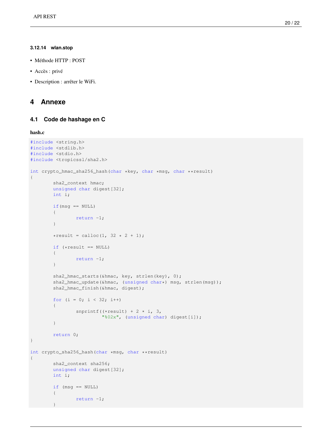#### <span id="page-24-0"></span>**3.12.14 wlan.stop**

- Méthode HTTP : POST
- Accès : privé
- Description : arrêter le WiFi.

## <span id="page-24-1"></span>**4 Annexe**

## <span id="page-24-2"></span>**4.1 Code de hashage en C**

#### <span id="page-24-3"></span>hash.c

```
#include <string.h>
#include <stdlib.h>
#include <stdio.h>
#include <tropicssl/sha2.h>
int crypto_hmac_sha256_hash(char *key, char *msg, char **result)
{
        sha2_context hmac;
        unsigned char digest[32];
        int i;
        if(msg == NULL){
                return -1;
        }
        *result = calloc(1, 32 * 2 + 1);
        if (*result == NULL){
               return -1;
        }
        sha2_hmac_starts(&hmac, key, strlen(key), 0);
        sha2_hmac_update(&hmac, (unsigned char*) msg, strlen(msg));
        sha2_hmac_finish(&hmac, digest);
        for (i = 0; i < 32; i++){
                snprintf((*result) + 2 * i, 3,
                         "%02x", (unsigned char) digest[i]);
        }
        return 0;
}
int crypto_sha256_hash(char *msg, char **result)
{
        sha2_context sha256;
        unsigned char digest[32];
        int i;
        if (msg == NULL)
        {
                return -1;
        }
```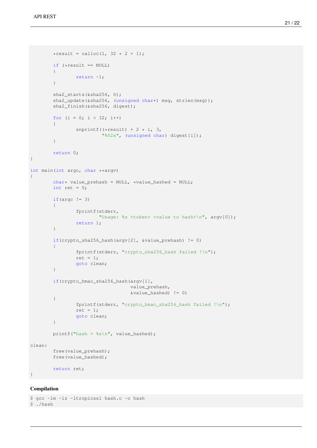```
*result = calloc(1, 32 \times 2 + 1);
        if (*result == NULL)
        {
                return -1;
        }
        sha2_starts(&sha256, 0);
        sha2_update(&sha256, (unsigned char*) msg, strlen(msg));
        sha2_finish(&sha256, digest);
        for (i = 0; i < 32; i++){
                snprintf((*result) + 2 * i, 3,
                         "%02x", (unsigned char) digest[i]);
        }
        return 0;
}
int main(int argc, char **argv)
{
        char* value_prehash = NULL, *value_hashed = NULL;
        int ret = 0;if(argc != 3){
                fprintf(stderr,
                        "Usage: %s <token> <value to hash>\n", argv[0]);
                return 1;
        }
        if(crypto_sha256_hash(argv[2], &value_prehash) != 0)
        {
                fprintf(stderr, "crypto_sha256_hash failed !\n");
                ret = 1;goto clean;
        }
        if(crypto_hmac_sha256_hash(argv[1],
                                    value_prehash,
                                    &value_hashed) != 0)
        {
                fprintf(stderr, "crypto_hmac_sha256_hash failed !\n");
                ret = 1;goto clean;
        }
        printf("hash = s\n\rangle n", value_hashed);
clean:
        free(value_prehash);
        free(value_hashed);
        return ret;
}
```
#### Compilation

```
$ gcc -lm -lz -ltropicssl hash.c -o hash
$ ./hash
```